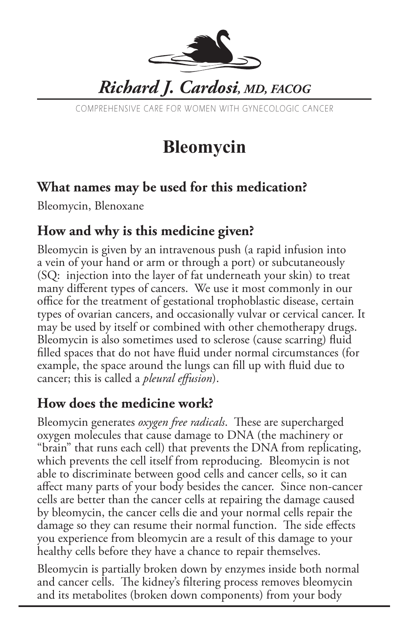

# *Richard J. Cardosi, MD, FACOG*

COMPREHENSIVE CARE FOR WOMEN WITH GYNECOLOGIC CANCER

# **Bleomycin**

#### **What names may be used for this medication?**

Bleomycin, Blenoxane

### **How and why is this medicine given?**

Bleomycin is given by an intravenous push (a rapid infusion into a vein of your hand or arm or through a port) or subcutaneously (SQ: injection into the layer of fat underneath your skin) to treat many different types of cancers. We use it most commonly in our office for the treatment of gestational trophoblastic disease, certain types of ovarian cancers, and occasionally vulvar or cervical cancer. It may be used by itself or combined with other chemotherapy drugs. Bleomycin is also sometimes used to sclerose (cause scarring) fluid filled spaces that do not have fluid under normal circumstances (for example, the space around the lungs can fill up with fluid due to cancer; this is called a *pleural effusion*).

### **How does the medicine work?**

Bleomycin generates *oxygen free radicals*. These are supercharged oxygen molecules that cause damage to DNA (the machinery or "brain" that runs each cell) that prevents the DNA from replicating, which prevents the cell itself from reproducing. Bleomycin is not able to discriminate between good cells and cancer cells, so it can affect many parts of your body besides the cancer. Since non-cancer cells are better than the cancer cells at repairing the damage caused by bleomycin, the cancer cells die and your normal cells repair the damage so they can resume their normal function. The side effects you experience from bleomycin are a result of this damage to your healthy cells before they have a chance to repair themselves.

Bleomycin is partially broken down by enzymes inside both normal and cancer cells. The kidney's filtering process removes bleomycin and its metabolites (broken down components) from your body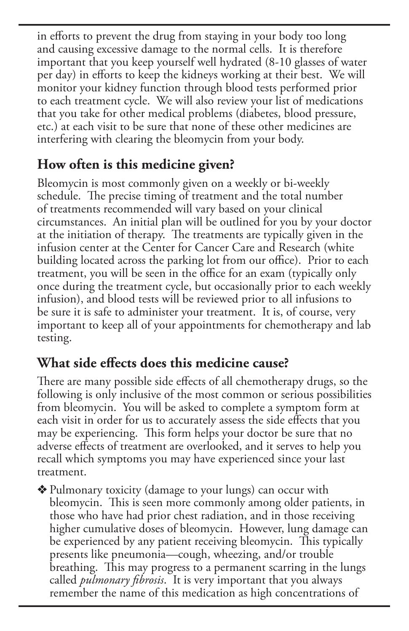in efforts to prevent the drug from staying in your body too long and causing excessive damage to the normal cells. It is therefore important that you keep yourself well hydrated (8-10 glasses of water per day) in efforts to keep the kidneys working at their best. We will monitor your kidney function through blood tests performed prior to each treatment cycle. We will also review your list of medications that you take for other medical problems (diabetes, blood pressure, etc.) at each visit to be sure that none of these other medicines are interfering with clearing the bleomycin from your body.

## **How often is this medicine given?**

Bleomycin is most commonly given on a weekly or bi-weekly schedule. The precise timing of treatment and the total number of treatments recommended will vary based on your clinical circumstances. An initial plan will be outlined for you by your doctor at the initiation of therapy. The treatments are typically given in the infusion center at the Center for Cancer Care and Research (white building located across the parking lot from our office). Prior to each treatment, you will be seen in the office for an exam (typically only once during the treatment cycle, but occasionally prior to each weekly infusion), and blood tests will be reviewed prior to all infusions to be sure it is safe to administer your treatment. It is, of course, very important to keep all of your appointments for chemotherapy and lab testing.

#### **What side effects does this medicine cause?**

There are many possible side effects of all chemotherapy drugs, so the following is only inclusive of the most common or serious possibilities from bleomycin. You will be asked to complete a symptom form at each visit in order for us to accurately assess the side effects that you may be experiencing. This form helps your doctor be sure that no adverse effects of treatment are overlooked, and it serves to help you recall which symptoms you may have experienced since your last treatment.

v Pulmonary toxicity (damage to your lungs) can occur with bleomycin. This is seen more commonly among older patients, in those who have had prior chest radiation, and in those receiving higher cumulative doses of bleomycin. However, lung damage can be experienced by any patient receiving bleomycin. This typically presents like pneumonia—cough, wheezing, and/or trouble breathing. This may progress to a permanent scarring in the lungs called *pulmonary fibrosis*. It is very important that you always remember the name of this medication as high concentrations of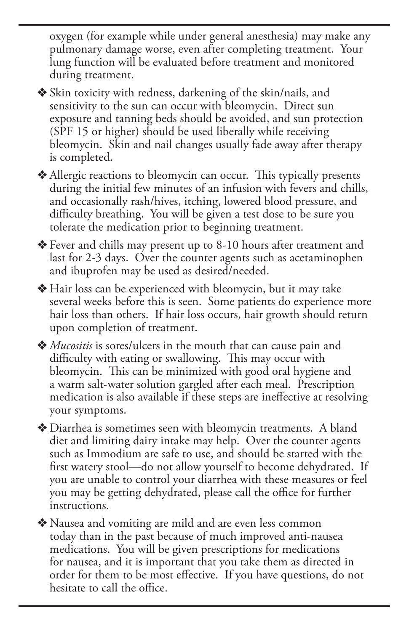oxygen (for example while under general anesthesia) may make any pulmonary damage worse, even after completing treatment. Your lung function will be evaluated before treatment and monitored during treatment.

• Skin toxicity with redness, darkening of the skin/nails, and sensitivity to the sun can occur with bleomycin. Direct sun exposure and tanning beds should be avoided, and sun protection (SPF 15 or higher) should be used liberally while receiving bleomycin. Skin and nail changes usually fade away after therapy is completed.

• Allergic reactions to bleomycin can occur. This typically presents during the initial few minutes of an infusion with fevers and chills, and occasionally rash/hives, itching, lowered blood pressure, and difficulty breathing. You will be given a test dose to be sure you tolerate the medication prior to beginning treatment.

v Fever and chills may present up to 8-10 hours after treatment and last for 2-3 days. Over the counter agents such as acetaminophen and ibuprofen may be used as desired/needed.

v Hair loss can be experienced with bleomycin, but it may take several weeks before this is seen. Some patients do experience more hair loss than others. If hair loss occurs, hair growth should return upon completion of treatment.

◆ *Mucositis* is sores/ulcers in the mouth that can cause pain and difficulty with eating or swallowing. This may occur with bleomycin. This can be minimized with good oral hygiene and a warm salt-water solution gargled after each meal. Prescription medication is also available if these steps are ineffective at resolving your symptoms.

v Diarrhea is sometimes seen with bleomycin treatments. A bland diet and limiting dairy intake may help. Over the counter agents such as Immodium are safe to use, and should be started with the first watery stool—do not allow yourself to become dehydrated. If you are unable to control your diarrhea with these measures or feel you may be getting dehydrated, please call the office for further instructions.

v Nausea and vomiting are mild and are even less common today than in the past because of much improved anti-nausea medications. You will be given prescriptions for medications for nausea, and it is important that you take them as directed in order for them to be most effective. If you have questions, do not hesitate to call the office.